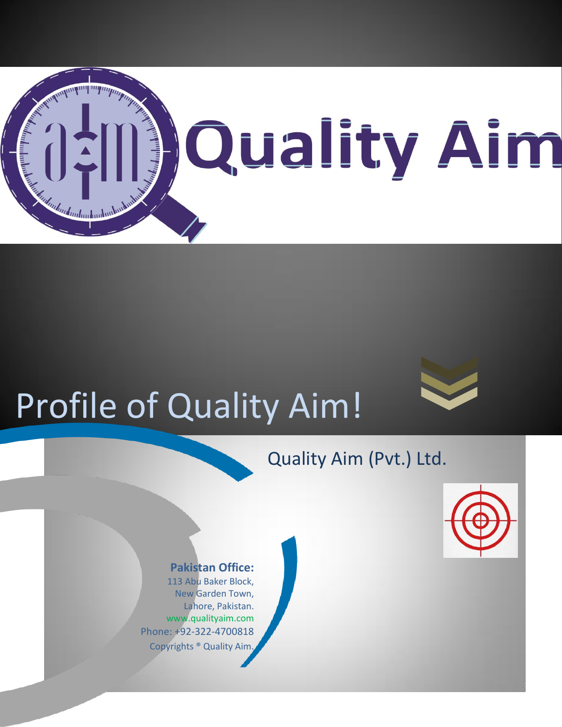

## Profile of Quality Aim!

#### Quality Aim (Pvt.) Ltd.



#### **Pakistan Office:**

113 Abu Baker Block, New Garden Town, Lahore, Pakistan. www.qualityaim.com Phone: +92-322-4700818 Copyrights ® Quality Aim.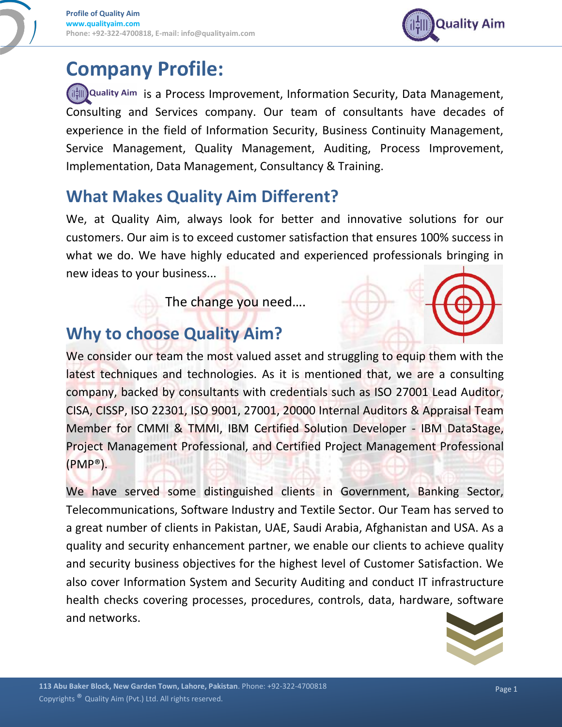### **Company Profile:**

**(it Quality Aim** is a Process Improvement, Information Security, Data Management, Consulting and Services company. Our team of consultants have decades of experience in the field of Information Security, Business Continuity Management, Service Management, Quality Management, Auditing, Process Improvement, Implementation, Data Management, Consultancy & Training.

#### **What Makes Quality Aim Different?**

We, at Quality Aim, always look for better and innovative solutions for our customers. Our aim is to exceed customer satisfaction that ensures 100% success in what we do. We have highly educated and experienced professionals bringing in new ideas to your business...

The change you need….

#### **Why to choose Quality Aim?**

We consider our team the most valued asset and struggling to equip them with the latest techniques and technologies. As it is mentioned that, we are a consulting company, backed by consultants with credentials such as ISO 27001 Lead Auditor, CISA, CISSP, ISO 22301, ISO 9001, 27001, 20000 Internal Auditors & Appraisal Team Member for CMMI & TMMI, IBM Certified Solution Developer - IBM DataStage, Project Management Professional, and Certified Project Management Professional (PMP®).

We have served some distinguished clients in Government, Banking Sector, Telecommunications, Software Industry and Textile Sector. Our Team has served to a great number of clients in Pakistan, UAE, Saudi Arabia, Afghanistan and USA. As a quality and security enhancement partner, we enable our clients to achieve quality and security business objectives for the highest level of Customer Satisfaction. We also cover Information System and Security Auditing and conduct IT infrastructure health checks covering processes, procedures, controls, data, hardware, software and networks.



**Quality Aim**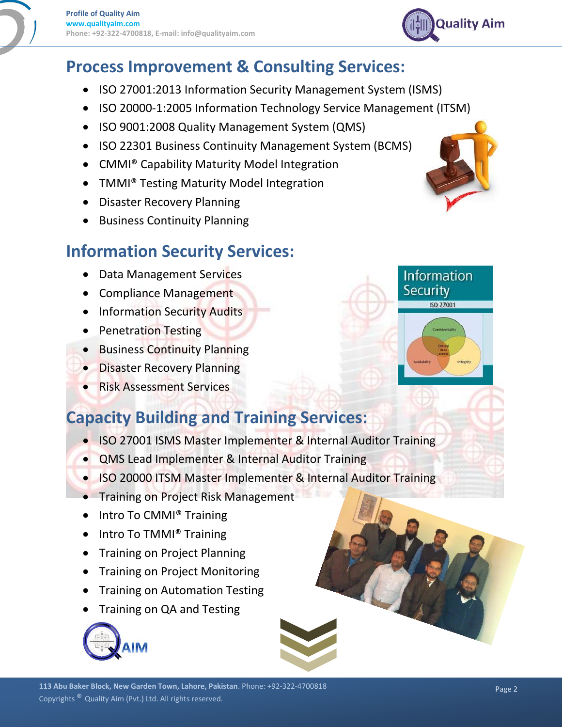

- ISO 27001:2013 Information Security Management System (ISMS)
- ISO 20000-1:2005 Information Technology Service Management (ITSM)
- ISO 9001:2008 Quality Management System (QMS)
- ISO 22301 Business Continuity Management System (BCMS)
- CMMI<sup>®</sup> Capability Maturity Model Integration
- TMMI® Testing Maturity Model Integration
- Disaster Recovery Planning
- **•** Business Continuity Planning

#### **Information Security Services:**

- Data Management Services
- Compliance Management
- Information Security Audits
- Penetration Testing
- **Business Continuity Planning**
- **Disaster Recovery Planning**
- **Risk Assessment Services**

#### **Capacity Building and Training Services:**

- ISO 27001 ISMS Master Implementer & Internal Auditor Training
- QMS Lead Implementer & Internal Auditor Training
- ISO 20000 ITSM Master Implementer & Internal Auditor Training
- **Training on Project Risk Management**
- Intro To CMMI® Training
- Intro To TMMI<sup>®</sup> Training
- Training on Project Planning
- Training on Project Monitoring
- Training on Automation Testing
- Training on QA and Testing





**Information Security ISO 27001** 

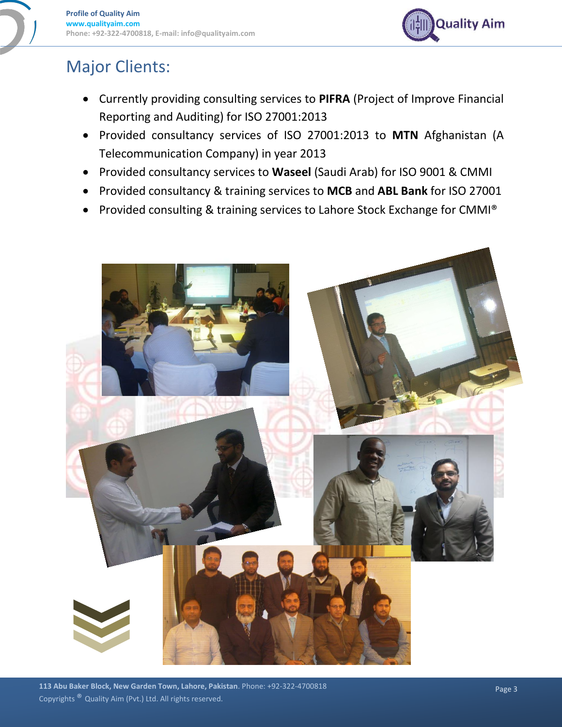

#### Major Clients:

- Currently providing consulting services to **PIFRA** (Project of Improve Financial Reporting and Auditing) for ISO 27001:2013
- Provided consultancy services of ISO 27001:2013 to **MTN** Afghanistan (A Telecommunication Company) in year 2013
- Provided consultancy services to **Waseel** (Saudi Arab) for ISO 9001 & CMMI
- Provided consultancy & training services to **MCB** and **ABL Bank** for ISO 27001
- Provided consulting & training services to Lahore Stock Exchange for CMMI®